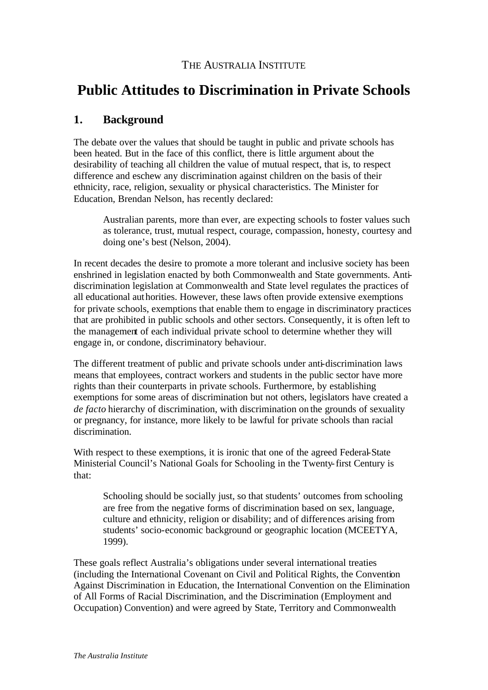# THE AUSTRALIA INSTITUTE

# **Public Attitudes to Discrimination in Private Schools**

# **1. Background**

The debate over the values that should be taught in public and private schools has been heated. But in the face of this conflict, there is little argument about the desirability of teaching all children the value of mutual respect, that is, to respect difference and eschew any discrimination against children on the basis of their ethnicity, race, religion, sexuality or physical characteristics. The Minister for Education, Brendan Nelson, has recently declared:

Australian parents, more than ever, are expecting schools to foster values such as tolerance, trust, mutual respect, courage, compassion, honesty, courtesy and doing one's best (Nelson, 2004).

In recent decades the desire to promote a more tolerant and inclusive society has been enshrined in legislation enacted by both Commonwealth and State governments. Antidiscrimination legislation at Commonwealth and State level regulates the practices of all educational authorities. However, these laws often provide extensive exemptions for private schools, exemptions that enable them to engage in discriminatory practices that are prohibited in public schools and other sectors. Consequently, it is often left to the management of each individual private school to determine whether they will engage in, or condone, discriminatory behaviour.

The different treatment of public and private schools under anti-discrimination laws means that employees, contract workers and students in the public sector have more rights than their counterparts in private schools. Furthermore, by establishing exemptions for some areas of discrimination but not others, legislators have created a *de facto* hierarchy of discrimination, with discrimination on the grounds of sexuality or pregnancy, for instance, more likely to be lawful for private schools than racial discrimination.

With respect to these exemptions, it is ironic that one of the agreed Federal-State Ministerial Council's National Goals for Schooling in the Twenty-first Century is that:

Schooling should be socially just, so that students' outcomes from schooling are free from the negative forms of discrimination based on sex, language, culture and ethnicity, religion or disability; and of differences arising from students' socio-economic background or geographic location (MCEETYA, 1999).

These goals reflect Australia's obligations under several international treaties (including the International Covenant on Civil and Political Rights, the Convention Against Discrimination in Education, the International Convention on the Elimination of All Forms of Racial Discrimination, and the Discrimination (Employment and Occupation) Convention) and were agreed by State, Territory and Commonwealth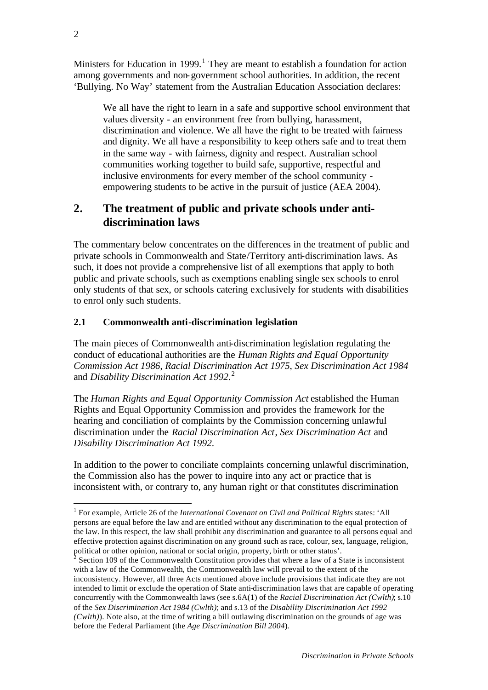Ministers for Education in 1999.<sup>1</sup> They are meant to establish a foundation for action among governments and non-government school authorities. In addition, the recent 'Bullying. No Way' statement from the Australian Education Association declares:

We all have the right to learn in a safe and supportive school environment that values diversity - an environment free from bullying, harassment, discrimination and violence. We all have the right to be treated with fairness and dignity. We all have a responsibility to keep others safe and to treat them in the same way - with fairness, dignity and respect. Australian school communities working together to build safe, supportive, respectful and inclusive environments for every member of the school community empowering students to be active in the pursuit of justice (AEA 2004).

# **2. The treatment of public and private schools under antidiscrimination laws**

The commentary below concentrates on the differences in the treatment of public and private schools in Commonwealth and State/Territory anti-discrimination laws. As such, it does not provide a comprehensive list of all exemptions that apply to both public and private schools, such as exemptions enabling single sex schools to enrol only students of that sex, or schools catering exclusively for students with disabilities to enrol only such students.

### **2.1 Commonwealth anti-discrimination legislation**

The main pieces of Commonwealth anti-discrimination legislation regulating the conduct of educational authorities are the *Human Rights and Equal Opportunity Commission Act 1986*, *Racial Discrimination Act 1975*, *Sex Discrimination Act 1984* and *Disability Discrimination Act 1992*. 2

The *Human Rights and Equal Opportunity Commission Act* established the Human Rights and Equal Opportunity Commission and provides the framework for the hearing and conciliation of complaints by the Commission concerning unlawful discrimination under the *Racial Discrimination Act*, *Sex Discrimination Act* and *Disability Discrimination Act 1992*.

In addition to the power to conciliate complaints concerning unlawful discrimination, the Commission also has the power to inquire into any act or practice that is inconsistent with, or contrary to, any human right or that constitutes discrimination

<sup>&</sup>lt;sup>1</sup> For example, Article 26 of the *International Covenant on Civil and Political Rights* states: 'All persons are equal before the law and are entitled without any discrimination to the equal protection of the law. In this respect, the law shall prohibit any discrimination and guarantee to all persons equal and effective protection against discrimination on any ground such as race, colour, sex, language, religion, political or other opinion, national or social origin, property, birth or other status'.<br>
<sup>2</sup> Section 100 of the Commonwealth Constitution provides that where a law of a S

Section 109 of the Commonwealth Constitution provides that where a law of a State is inconsistent with a law of the Commonwealth, the Commonwealth law will prevail to the extent of the inconsistency. However, all three Acts mentioned above include provisions that indicate they are not intended to limit or exclude the operation of State anti-discrimination laws that are capable of operating concurrently with the Commonwealth laws (see s.6A(1) of the *Racial Discrimination Act (Cwlth)*; s.10 of the *Sex Discrimination Act 1984 (Cwlth)*; and s.13 of the *Disability Discrimination Act 1992 (Cwlth)*). Note also, at the time of writing a bill outlawing discrimination on the grounds of age was before the Federal Parliament (the *Age Discrimination Bill 2004*).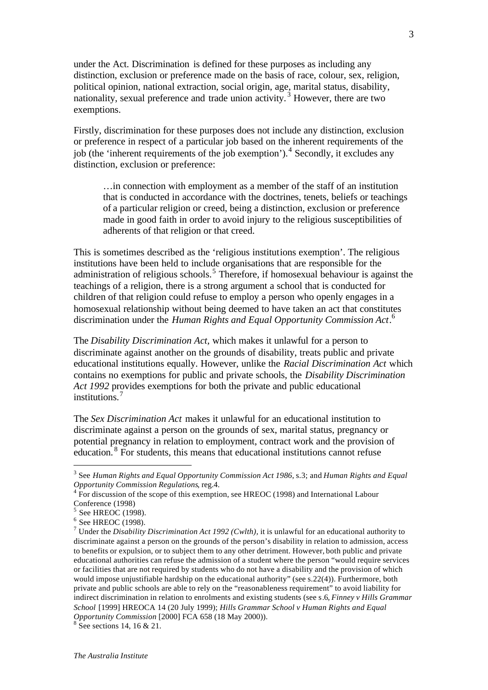under the Act. Discrimination is defined for these purposes as including any distinction, exclusion or preference made on the basis of race, colour, sex, religion, political opinion, national extraction, social origin, age, marital status, disability, nationality, sexual preference and trade union activity.<sup>3</sup> However, there are two exemptions.

Firstly, discrimination for these purposes does not include any distinction, exclusion or preference in respect of a particular job based on the inherent requirements of the job (the 'inherent requirements of the job exemption').<sup>4</sup> Secondly, it excludes any distinction, exclusion or preference:

…in connection with employment as a member of the staff of an institution that is conducted in accordance with the doctrines, tenets, beliefs or teachings of a particular religion or creed, being a distinction, exclusion or preference made in good faith in order to avoid injury to the religious susceptibilities of adherents of that religion or that creed.

This is sometimes described as the 'religious institutions exemption'. The religious institutions have been held to include organisations that are responsible for the administration of religious schools.<sup>5</sup> Therefore, if homosexual behaviour is against the teachings of a religion, there is a strong argument a school that is conducted for children of that religion could refuse to employ a person who openly engages in a homosexual relationship without being deemed to have taken an act that constitutes discrimination under the *Human Rights and Equal Opportunity Commission Act*. 6

The *Disability Discrimination Act,* which makes it unlawful for a person to discriminate against another on the grounds of disability, treats public and private educational institutions equally. However, unlike the *Racial Discrimination Act* which contains no exemptions for public and private schools, the *Disability Discrimination Act 1992* provides exemptions for both the private and public educational institutions.<sup>7</sup>

The *Sex Discrimination Act* makes it unlawful for an educational institution to discriminate against a person on the grounds of sex, marital status, pregnancy or potential pregnancy in relation to employment, contract work and the provision of education. <sup>8</sup> For students, this means that educational institutions cannot refuse

<sup>3</sup> See *Human Rights and Equal Opportunity Commission Act 1986*, s.3; and *Human Rights and Equal Opportunity Commission Regulations*, reg.4.

<sup>&</sup>lt;sup>4</sup> For discussion of the scope of this exemption, see HREOC (1998) and International Labour Conference (1998)

<sup>&</sup>lt;sup>5</sup> See HREOC (1998).

<sup>&</sup>lt;sup>6</sup> See HREOC (1998).

<sup>7</sup> Under the *Disability Discrimination Act 1992 (Cwlth),* it is unlawful for an educational authority to discriminate against a person on the grounds of the person's disability in relation to admission, access to benefits or expulsion, or to subject them to any other detriment. However, both public and private educational authorities can refuse the admission of a student where the person "would require services or facilities that are not required by students who do not have a disability and the provision of which would impose unjustifiable hardship on the educational authority" (see s.22(4)). Furthermore, both private and public schools are able to rely on the "reasonableness requirement" to avoid liability for indirect discrimination in relation to enrolments and existing students (see s.6, *Finney v Hills Grammar School* [1999] HREOCA 14 (20 July 1999); *Hills Grammar School v Human Rights and Equal Opportunity Commission* [2000] FCA 658 (18 May 2000)).

<sup>&</sup>lt;sup>8</sup> See sections 14, 16 & 21.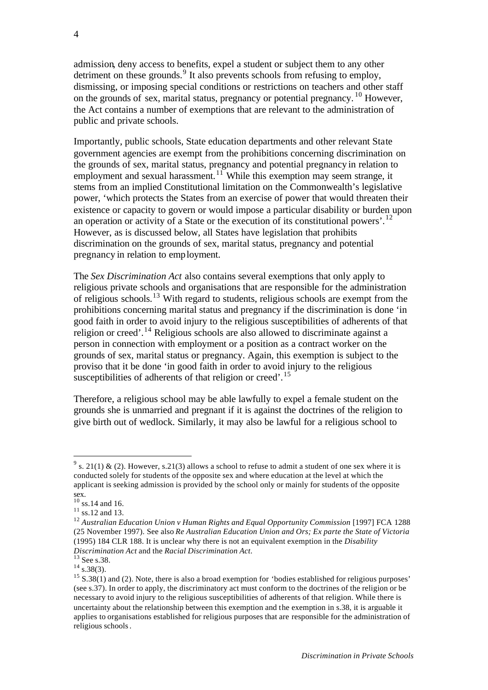admission, deny access to benefits, expel a student or subject them to any other detriment on these grounds.<sup>9</sup> It also prevents schools from refusing to employ, dismissing, or imposing special conditions or restrictions on teachers and other staff on the grounds of sex, marital status, pregnancy or potential pregnancy. <sup>10</sup> However, the Act contains a number of exemptions that are relevant to the administration of public and private schools.

Importantly, public schools, State education departments and other relevant State government agencies are exempt from the prohibitions concerning discrimination on the grounds of sex, marital status, pregnancy and potential pregnancy in relation to employment and sexual harassment.<sup>11</sup> While this exemption may seem strange, it stems from an implied Constitutional limitation on the Commonwealth's legislative power, 'which protects the States from an exercise of power that would threaten their existence or capacity to govern or would impose a particular disability or burden upon an operation or activity of a State or the execution of its constitutional powers'.<sup>12</sup> However, as is discussed below, all States have legislation that prohibits discrimination on the grounds of sex, marital status, pregnancy and potential pregnancy in relation to employment.

The *Sex Discrimination Act* also contains several exemptions that only apply to religious private schools and organisations that are responsible for the administration of religious schools.<sup>13</sup> With regard to students, religious schools are exempt from the prohibitions concerning marital status and pregnancy if the discrimination is done 'in good faith in order to avoid injury to the religious susceptibilities of adherents of that religion or creed'.<sup>14</sup> Religious schools are also allowed to discriminate against a person in connection with employment or a position as a contract worker on the grounds of sex, marital status or pregnancy. Again, this exemption is subject to the proviso that it be done 'in good faith in order to avoid injury to the religious susceptibilities of adherents of that religion or creed'.<sup>15</sup>

Therefore, a religious school may be able lawfully to expel a female student on the grounds she is unmarried and pregnant if it is against the doctrines of the religion to give birth out of wedlock. Similarly, it may also be lawful for a religious school to

<sup>&</sup>lt;sup>9</sup> s. 21(1) & (2). However, s.21(3) allows a school to refuse to admit a student of one sex where it is conducted solely for students of the opposite sex and where education at the level at which the applicant is seeking admission is provided by the school only or mainly for students of the opposite sex.

 $10$  ss.14 and 16.

 $11 \text{ ss.12}$  and 13.

<sup>12</sup> *Australian Education Union v Human Rights and Equal Opportunity Commission* [1997] FCA 1288 (25 November 1997). See also *Re Australian Education Union and Ors; Ex parte the State of Victoria*  (1995) 184 CLR 188. It is unclear why there is not an equivalent exemption in the *Disability Discrimination Act* and the *Racial Discrimination Act*.

<sup>&</sup>lt;sup>13</sup> See s.38.

 $14 \frac{\text{sec}}{\text{s}}$ .38(3).

 $15$  S.38(1) and (2). Note, there is also a broad exemption for 'bodies established for religious purposes' (see s.37). In order to apply, the discriminatory act must conform to the doctrines of the religion or be necessary to avoid injury to the religious susceptibilities of adherents of that religion. While there is uncertainty about the relationship between this exemption and the exemption in s.38, it is arguable it applies to organisations established for religious purposes that are responsible for the administration of religious schools.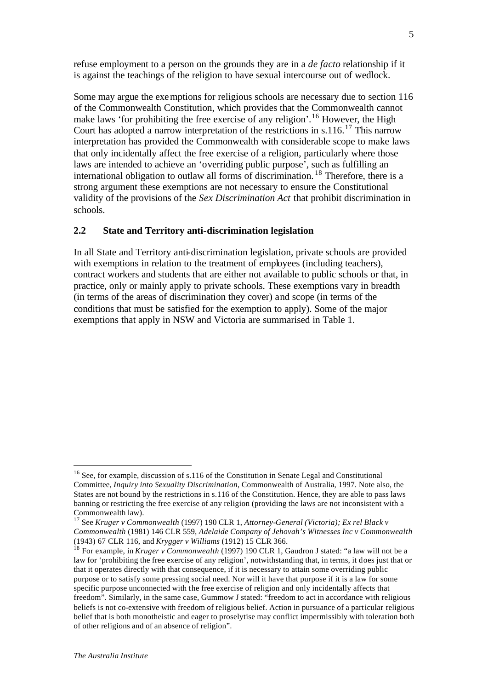refuse employment to a person on the grounds they are in a *de facto* relationship if it is against the teachings of the religion to have sexual intercourse out of wedlock.

Some may argue the exemptions for religious schools are necessary due to section 116 of the Commonwealth Constitution, which provides that the Commonwealth cannot make laws 'for prohibiting the free exercise of any religion'.<sup>16</sup> However, the High Court has adopted a narrow interpretation of the restrictions in s.116.<sup>17</sup> This narrow interpretation has provided the Commonwealth with considerable scope to make laws that only incidentally affect the free exercise of a religion, particularly where those laws are intended to achieve an 'overriding public purpose', such as fulfilling an international obligation to outlaw all forms of discrimination. <sup>18</sup> Therefore, there is a strong argument these exemptions are not necessary to ensure the Constitutional validity of the provisions of the *Sex Discrimination Act* that prohibit discrimination in schools.

### **2.2 State and Territory anti-discrimination legislation**

In all State and Territory anti-discrimination legislation, private schools are provided with exemptions in relation to the treatment of employees (including teachers), contract workers and students that are either not available to public schools or that, in practice, only or mainly apply to private schools. These exemptions vary in breadth (in terms of the areas of discrimination they cover) and scope (in terms of the conditions that must be satisfied for the exemption to apply). Some of the major exemptions that apply in NSW and Victoria are summarised in Table 1.

<sup>&</sup>lt;sup>16</sup> See, for example, discussion of s.116 of the Constitution in Senate Legal and Constitutional Committee, *Inquiry into Sexuality Discrimination*, Commonwealth of Australia, 1997. Note also, the States are not bound by the restrictions in s.116 of the Constitution. Hence, they are able to pass laws banning or restricting the free exercise of any religion (providing the laws are not inconsistent with a Commonwealth law).

<sup>17</sup> See *Kruger v Commonwealth* (1997) 190 CLR 1, *Attorney-General (Victoria); Ex rel Black v Commonwealth* (1981) 146 CLR 559, *Adelaide Company of Jehovah's Witnesses Inc v Commonwealth* (1943) 67 CLR 116, and *Krygger v Williams* (1912) 15 CLR 366.

<sup>18</sup> For example, in *Kruger v Commonwealth* (1997) 190 CLR 1, Gaudron J stated: "a law will not be a law for 'prohibiting the free exercise of any religion', notwithstanding that, in terms, it does just that or that it operates directly with that consequence, if it is necessary to attain some overriding public purpose or to satisfy some pressing social need. Nor will it have that purpose if it is a law for some specific purpose unconnected with the free exercise of religion and only incidentally affects that freedom". Similarly, in the same case, Gummow J stated: "freedom to act in accordance with religious beliefs is not co-extensive with freedom of religious belief. Action in pursuance of a particular religious belief that is both monotheistic and eager to proselytise may conflict impermissibly with toleration both of other religions and of an absence of religion".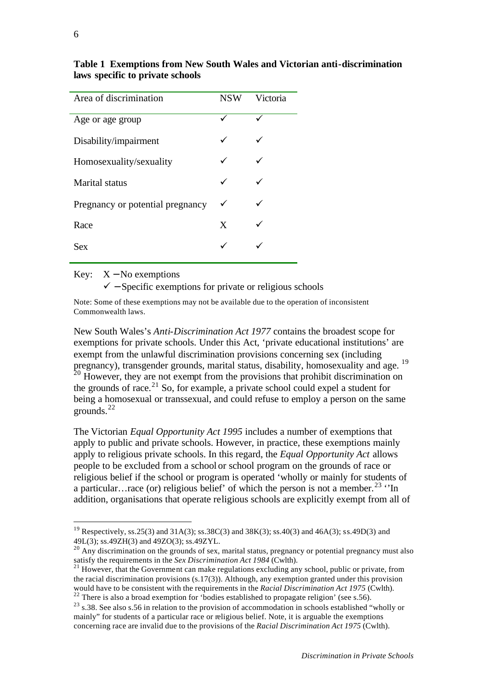| Area of discrimination           | <b>NSW</b> | Victoria |
|----------------------------------|------------|----------|
| Age or age group                 | ✓          |          |
| Disability/impairment            |            |          |
| Homosexuality/sexuality          |            |          |
| Marital status                   |            |          |
| Pregnancy or potential pregnancy | ✓          |          |
| Race                             | X          |          |
| Sex                              |            |          |

**Table 1 Exemptions from New South Wales and Victorian anti-discrimination laws specific to private schools**

Key:  $X - No$  exemptions

 $\checkmark$  – Specific exemptions for private or religious schools

Note: Some of these exemptions may not be available due to the operation of inconsistent Commonwealth laws.

New South Wales's *Anti-Discrimination Act 1977* contains the broadest scope for exemptions for private schools. Under this Act, 'private educational institutions' are exempt from the unlawful discrimination provisions concerning sex (including pregnancy), transgender grounds, marital status, disability, homosexuality and age. <sup>19</sup>  $20$  However, they are not exempt from the provisions that prohibit discrimination on the grounds of race.<sup>21</sup> So, for example, a private school could expel a student for being a homosexual or transsexual, and could refuse to employ a person on the same grounds.<sup>22</sup>

The Victorian *Equal Opportunity Act 1995* includes a number of exemptions that apply to public and private schools. However, in practice, these exemptions mainly apply to religious private schools. In this regard, the *Equal Opportunity Act* allows people to be excluded from a school or school program on the grounds of race or religious belief if the school or program is operated 'wholly or mainly for students of a particular…race (or) religious belief' of which the person is not a member.<sup>23</sup>  $\cdot$ In addition, organisations that operate religious schools are explicitly exempt from all of

<sup>&</sup>lt;sup>19</sup> Respectively, ss.25(3) and 31A(3); ss.38C(3) and 38K(3); ss.40(3) and 46A(3); ss.49D(3) and 49L(3); ss.49ZH(3) and 49ZO(3); ss.49ZYL.

<sup>&</sup>lt;sup>20</sup> Any discrimination on the grounds of sex, marital status, pregnancy or potential pregnancy must also satisfy the requirements in the *Sex Discrimination Act 1984* (Cwlth).

<sup>&</sup>lt;sup>21</sup> However, that the Government can make regulations excluding any school, public or private, from the racial discrimination provisions (s.17(3)). Although, any exemption granted under this provision would have to be consistent with the requirements in the *Racial Discrimination Act 1975* (Cwlth).  $22$ <sup>22</sup> There is also a broad exemption for 'bodies established to propagate religion' (see s.56).

 $^{23}$  s.38. See also s.56 in relation to the provision of accommodation in schools established "wholly or mainly" for students of a particular race or religious belief. Note, it is arguable the exemptions concerning race are invalid due to the provisions of the *Racial Discrimination Act 1975* (Cwlth).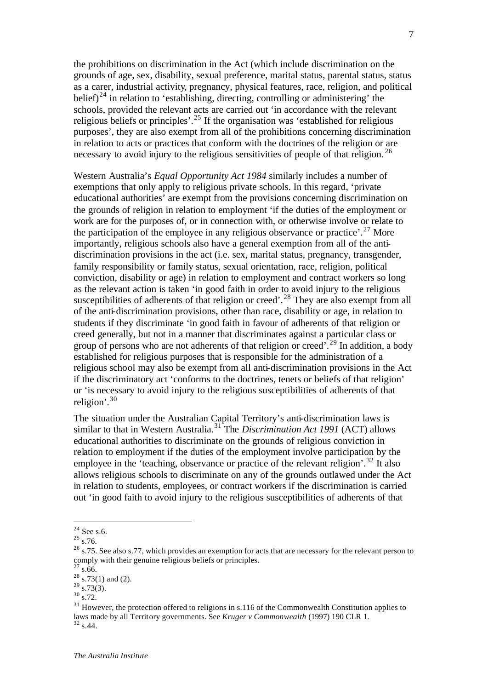the prohibitions on discrimination in the Act (which include discrimination on the grounds of age, sex, disability, sexual preference, marital status, parental status, status as a carer, industrial activity, pregnancy, physical features, race, religion, and political belief)<sup>24</sup> in relation to 'establishing, directing, controlling or administering' the schools, provided the relevant acts are carried out 'in accordance with the relevant religious beliefs or principles'.<sup>25</sup> If the organisation was 'established for religious purposes', they are also exempt from all of the prohibitions concerning discrimination in relation to acts or practices that conform with the doctrines of the religion or are necessary to avoid injury to the religious sensitivities of people of that religion.<sup>26</sup>

Western Australia's *Equal Opportunity Act 1984* similarly includes a number of exemptions that only apply to religious private schools. In this regard, 'private educational authorities' are exempt from the provisions concerning discrimination on the grounds of religion in relation to employment 'if the duties of the employment or work are for the purposes of, or in connection with, or otherwise involve or relate to the participation of the employee in any religious observance or practice'.<sup>27</sup> More importantly, religious schools also have a general exemption from all of the antidiscrimination provisions in the act (i.e. sex, marital status, pregnancy, transgender, family responsibility or family status, sexual orientation, race, religion, political conviction, disability or age) in relation to employment and contract workers so long as the relevant action is taken 'in good faith in order to avoid injury to the religious susceptibilities of adherents of that religion or creed'.<sup>28</sup> They are also exempt from all of the anti-discrimination provisions, other than race, disability or age, in relation to students if they discriminate 'in good faith in favour of adherents of that religion or creed generally, but not in a manner that discriminates against a particular class or group of persons who are not adherents of that religion or creed<sup>7</sup>.<sup>29</sup> In addition, a body established for religious purposes that is responsible for the administration of a religious school may also be exempt from all anti-discrimination provisions in the Act if the discriminatory act 'conforms to the doctrines, tenets or beliefs of that religion' or 'is necessary to avoid injury to the religious susceptibilities of adherents of that religion'.<sup>30</sup>

The situation under the Australian Capital Territory's anti-discrimination laws is similar to that in Western Australia.<sup>31</sup> The *Discrimination Act 1991* (ACT) allows educational authorities to discriminate on the grounds of religious conviction in relation to employment if the duties of the employment involve participation by the employee in the 'teaching, observance or practice of the relevant religion'.<sup>32</sup> It also allows religious schools to discriminate on any of the grounds outlawed under the Act in relation to students, employees, or contract workers if the discrimination is carried out 'in good faith to avoid injury to the religious susceptibilities of adherents of that

l

 $27$  s.66.

 $^{24}$  See s.6.

 $^{25}$  s.76.

<sup>&</sup>lt;sup>26</sup> s.75. See also s.77, which provides an exemption for acts that are necessary for the relevant person to comply with their genuine religious beliefs or principles.

 $^{28}$  s.73(1) and (2).

 $^{29}$  s.73(3).

 $30\frac{1}{\text{s}}$ .72.

<sup>&</sup>lt;sup>31</sup> However, the protection offered to religions in s.116 of the Commonwealth Constitution applies to laws made by all Territory governments. See *Kruger v Commonwealth* (1997) 190 CLR 1.  $32$  s.44.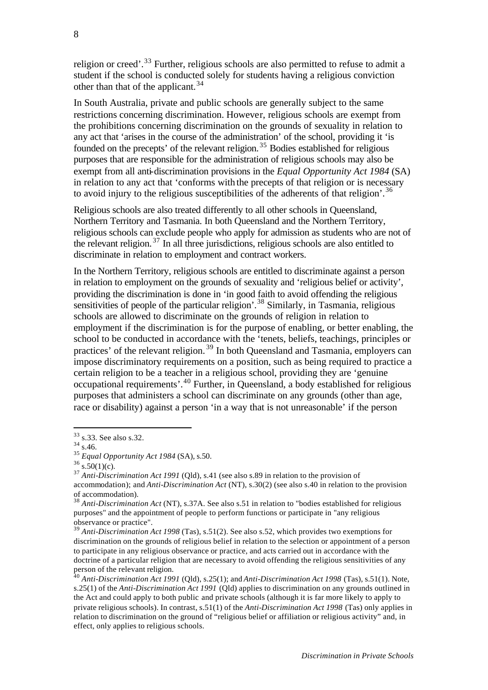religion or creed'.<sup>33</sup> Further, religious schools are also permitted to refuse to admit a student if the school is conducted solely for students having a religious conviction other than that of the applicant.  $34$ 

In South Australia, private and public schools are generally subject to the same restrictions concerning discrimination. However, religious schools are exempt from the prohibitions concerning discrimination on the grounds of sexuality in relation to any act that 'arises in the course of the administration' of the school, providing it 'is founded on the precepts' of the relevant religion.<sup>35</sup> Bodies established for religious purposes that are responsible for the administration of religious schools may also be exempt from all anti-discrimination provisions in the *Equal Opportunity Act 1984* (SA) in relation to any act that 'conforms with the precepts of that religion or is necessary to avoid injury to the religious susceptibilities of the adherents of that religion'.<sup>36</sup>

Religious schools are also treated differently to all other schools in Queensland, Northern Territory and Tasmania. In both Queensland and the Northern Territory, religious schools can exclude people who apply for admission as students who are not of the relevant religion. <sup>37</sup> In all three jurisdictions, religious schools are also entitled to discriminate in relation to employment and contract workers.

In the Northern Territory, religious schools are entitled to discriminate against a person in relation to employment on the grounds of sexuality and 'religious belief or activity', providing the discrimination is done in 'in good faith to avoid offending the religious sensitivities of people of the particular religion'.<sup>38</sup> Similarly, in Tasmania, religious schools are allowed to discriminate on the grounds of religion in relation to employment if the discrimination is for the purpose of enabling, or better enabling, the school to be conducted in accordance with the 'tenets, beliefs, teachings, principles or practices' of the relevant religion.<sup>39</sup> In both Queensland and Tasmania, employers can impose discriminatory requirements on a position, such as being required to practice a certain religion to be a teacher in a religious school, providing they are 'genuine occupational requirements'.<sup>40</sup> Further, in Queensland, a body established for religious purposes that administers a school can discriminate on any grounds (other than age, race or disability) against a person 'in a way that is not unreasonable' if the person

j

<sup>&</sup>lt;sup>33</sup> s.33. See also s.32.

 $34$  s.46.

<sup>35</sup> *Equal Opportunity Act 1984* (SA), s.50.

 $36 \frac{1}{8.50(1)}$ (c).

<sup>&</sup>lt;sup>37</sup> Anti-Discrimination Act 1991 (Qld), s.41 (see also s.89 in relation to the provision of accommodation); and *Anti-Discrimination Act* (NT), s.30(2) (see also s.40 in relation to the provision of accommodation).

<sup>38</sup> *Anti-Discrimination Act* (NT), s.37A. See also s.51 in relation to "bodies established for religious purposes" and the appointment of people to perform functions or participate in "any religious observance or practice".

<sup>39</sup> *Anti-Discrimination Act 1998* (Tas), s.51(2). See also s.52, which provides two exemptions for discrimination on the grounds of religious belief in relation to the selection or appointment of a person to participate in any religious observance or practice, and acts carried out in accordance with the doctrine of a particular religion that are necessary to avoid offending the religious sensitivities of any person of the relevant religion.

<sup>40</sup> *Anti-Discrimination Act 1991* (Qld), s.25(1); and *Anti-Discrimination Act 1998* (Tas), s.51(1). Note, s.25(1) of the *Anti-Discrimination Act 1991* (Qld) applies to discrimination on any grounds outlined in the Act and could apply to both public and private schools (although it is far more likely to apply to private religious schools). In contrast, s.51(1) of the *Anti-Discrimination Act 1998* (Tas) only applies in relation to discrimination on the ground of "religious belief or affiliation or religious activity" and, in effect, only applies to religious schools.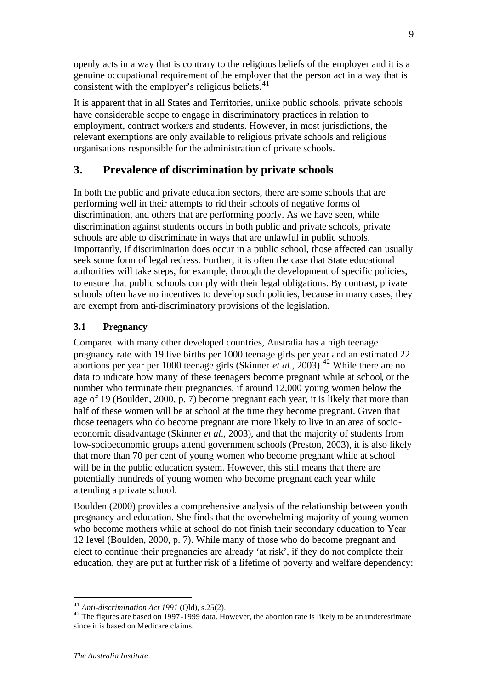openly acts in a way that is contrary to the religious beliefs of the employer and it is a genuine occupational requirement of the employer that the person act in a way that is consistent with the employer's religious beliefs. $41$ 

It is apparent that in all States and Territories, unlike public schools, private schools have considerable scope to engage in discriminatory practices in relation to employment, contract workers and students. However, in most jurisdictions, the relevant exemptions are only available to religious private schools and religious organisations responsible for the administration of private schools.

### **3. Prevalence of discrimination by private schools**

In both the public and private education sectors, there are some schools that are performing well in their attempts to rid their schools of negative forms of discrimination, and others that are performing poorly. As we have seen, while discrimination against students occurs in both public and private schools, private schools are able to discriminate in ways that are unlawful in public schools. Importantly, if discrimination does occur in a public school, those affected can usually seek some form of legal redress. Further, it is often the case that State educational authorities will take steps, for example, through the development of specific policies, to ensure that public schools comply with their legal obligations. By contrast, private schools often have no incentives to develop such policies, because in many cases, they are exempt from anti-discriminatory provisions of the legislation.

### **3.1 Pregnancy**

Compared with many other developed countries, Australia has a high teenage pregnancy rate with 19 live births per 1000 teenage girls per year and an estimated 22 abortions per year per 1000 teenage girls (Skinner *et al.*, 2003).<sup>42</sup> While there are no data to indicate how many of these teenagers become pregnant while at school, or the number who terminate their pregnancies, if around 12,000 young women below the age of 19 (Boulden, 2000, p. 7) become pregnant each year, it is likely that more than half of these women will be at school at the time they become pregnant. Given tha t those teenagers who do become pregnant are more likely to live in an area of socioeconomic disadvantage (Skinner *et al*., 2003), and that the majority of students from low-socioeconomic groups attend government schools (Preston, 2003), it is also likely that more than 70 per cent of young women who become pregnant while at school will be in the public education system. However, this still means that there are potentially hundreds of young women who become pregnant each year while attending a private school.

Boulden (2000) provides a comprehensive analysis of the relationship between youth pregnancy and education. She finds that the overwhelming majority of young women who become mothers while at school do not finish their secondary education to Year 12 level (Boulden, 2000, p. 7). While many of those who do become pregnant and elect to continue their pregnancies are already 'at risk', if they do not complete their education, they are put at further risk of a lifetime of poverty and welfare dependency:

<sup>41</sup> *Anti-discrimination Act 1991* (Qld), s.25(2).

<sup>&</sup>lt;sup>42</sup> The figures are based on 1997-1999 data. However, the abortion rate is likely to be an underestimate since it is based on Medicare claims.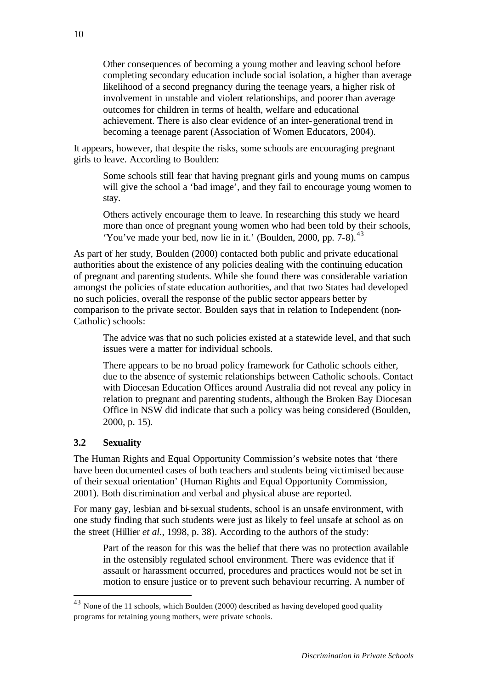Other consequences of becoming a young mother and leaving school before completing secondary education include social isolation, a higher than average likelihood of a second pregnancy during the teenage years, a higher risk of involvement in unstable and violent relationships, and poorer than average outcomes for children in terms of health, welfare and educational achievement. There is also clear evidence of an inter-generational trend in becoming a teenage parent (Association of Women Educators, 2004).

It appears, however, that despite the risks, some schools are encouraging pregnant girls to leave. According to Boulden:

Some schools still fear that having pregnant girls and young mums on campus will give the school a 'bad image', and they fail to encourage young women to stay.

Others actively encourage them to leave. In researching this study we heard more than once of pregnant young women who had been told by their schools, 'You've made your bed, now lie in it.' (Boulden, 2000, pp.  $7-8$ ).<sup>43</sup>

As part of her study, Boulden (2000) contacted both public and private educational authorities about the existence of any policies dealing with the continuing education of pregnant and parenting students. While she found there was considerable variation amongst the policies of state education authorities, and that two States had developed no such policies, overall the response of the public sector appears better by comparison to the private sector. Boulden says that in relation to Independent (non-Catholic) schools:

The advice was that no such policies existed at a statewide level, and that such issues were a matter for individual schools.

There appears to be no broad policy framework for Catholic schools either, due to the absence of systemic relationships between Catholic schools. Contact with Diocesan Education Offices around Australia did not reveal any policy in relation to pregnant and parenting students, although the Broken Bay Diocesan Office in NSW did indicate that such a policy was being considered (Boulden, 2000, p. 15).

#### **3.2 Sexuality**

l

The Human Rights and Equal Opportunity Commission's website notes that 'there have been documented cases of both teachers and students being victimised because of their sexual orientation' (Human Rights and Equal Opportunity Commission, 2001). Both discrimination and verbal and physical abuse are reported.

For many gay, lesbian and bi-sexual students, school is an unsafe environment, with one study finding that such students were just as likely to feel unsafe at school as on the street (Hillier *et al.*, 1998, p. 38). According to the authors of the study:

Part of the reason for this was the belief that there was no protection available in the ostensibly regulated school environment. There was evidence that if assault or harassment occurred, procedures and practices would not be set in motion to ensure justice or to prevent such behaviour recurring. A number of

<sup>&</sup>lt;sup>43</sup> None of the 11 schools, which Boulden (2000) described as having developed good quality programs for retaining young mothers, were private schools.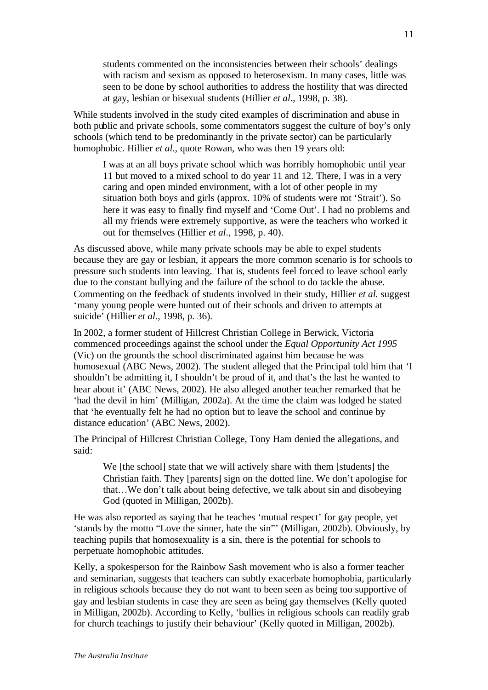students commented on the inconsistencies between their schools' dealings with racism and sexism as opposed to heterosexism. In many cases, little was seen to be done by school authorities to address the hostility that was directed at gay, lesbian or bisexual students (Hillier *et al*., 1998, p. 38).

While students involved in the study cited examples of discrimination and abuse in both public and private schools, some commentators suggest the culture of boy's only schools (which tend to be predominantly in the private sector) can be particularly homophobic. Hillier *et al.*, quote Rowan, who was then 19 years old:

I was at an all boys private school which was horribly homophobic until year 11 but moved to a mixed school to do year 11 and 12. There, I was in a very caring and open minded environment, with a lot of other people in my situation both boys and girls (approx. 10% of students were not 'Strait'). So here it was easy to finally find myself and 'Come Out'. I had no problems and all my friends were extremely supportive, as were the teachers who worked it out for themselves (Hillier *et al*., 1998, p. 40).

As discussed above, while many private schools may be able to expel students because they are gay or lesbian, it appears the more common scenario is for schools to pressure such students into leaving. That is, students feel forced to leave school early due to the constant bullying and the failure of the school to do tackle the abuse. Commenting on the feedback of students involved in their study, Hillier *et al.* suggest 'many young people were hunted out of their schools and driven to attempts at suicide' (Hillier *et al.*, 1998, p. 36).

In 2002, a former student of Hillcrest Christian College in Berwick, Victoria commenced proceedings against the school under the *Equal Opportunity Act 1995* (Vic) on the grounds the school discriminated against him because he was homosexual (ABC News, 2002). The student alleged that the Principal told him that 'I shouldn't be admitting it, I shouldn't be proud of it, and that's the last he wanted to hear about it' (ABC News, 2002). He also alleged another teacher remarked that he 'had the devil in him' (Milligan, 2002a). At the time the claim was lodged he stated that 'he eventually felt he had no option but to leave the school and continue by distance education' (ABC News, 2002).

The Principal of Hillcrest Christian College, Tony Ham denied the allegations, and said:

We [the school] state that we will actively share with them [students] the Christian faith. They [parents] sign on the dotted line. We don't apologise for that…We don't talk about being defective, we talk about sin and disobeying God (quoted in Milligan, 2002b).

He was also reported as saying that he teaches 'mutual respect' for gay people, yet 'stands by the motto "Love the sinner, hate the sin"' (Milligan, 2002b). Obviously, by teaching pupils that homosexuality is a sin, there is the potential for schools to perpetuate homophobic attitudes.

Kelly, a spokesperson for the Rainbow Sash movement who is also a former teacher and seminarian, suggests that teachers can subtly exacerbate homophobia, particularly in religious schools because they do not want to been seen as being too supportive of gay and lesbian students in case they are seen as being gay themselves (Kelly quoted in Milligan, 2002b). According to Kelly, 'bullies in religious schools can readily grab for church teachings to justify their behaviour' (Kelly quoted in Milligan, 2002b).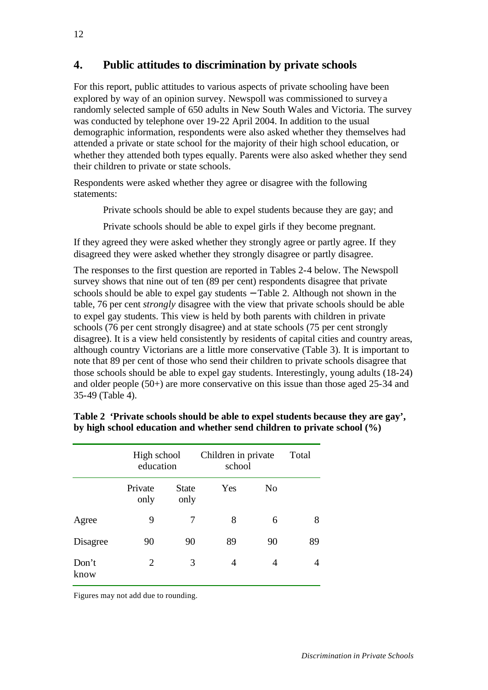# **4. Public attitudes to discrimination by private schools**

For this report, public attitudes to various aspects of private schooling have been explored by way of an opinion survey. Newspoll was commissioned to survey a randomly selected sample of 650 adults in New South Wales and Victoria. The survey was conducted by telephone over 19-22 April 2004. In addition to the usual demographic information, respondents were also asked whether they themselves had attended a private or state school for the majority of their high school education, or whether they attended both types equally. Parents were also asked whether they send their children to private or state schools.

Respondents were asked whether they agree or disagree with the following statements:

Private schools should be able to expel students because they are gay; and

Private schools should be able to expel girls if they become pregnant.

If they agreed they were asked whether they strongly agree or partly agree. If they disagreed they were asked whether they strongly disagree or partly disagree.

The responses to the first question are reported in Tables 2-4 below. The Newspoll survey shows that nine out of ten (89 per cent) respondents disagree that private schools should be able to expel gay students – Table 2. Although not shown in the table, 76 per cent *strongly* disagree with the view that private schools should be able to expel gay students. This view is held by both parents with children in private schools (76 per cent strongly disagree) and at state schools (75 per cent strongly disagree). It is a view held consistently by residents of capital cities and country areas, although country Victorians are a little more conservative (Table 3). It is important to note that 89 per cent of those who send their children to private schools disagree that those schools should be able to expel gay students. Interestingly, young adults (18-24) and older people (50+) are more conservative on this issue than those aged 25-34 and 35-49 (Table 4).

|               | High school<br>education |                      | Children in private<br>school | Total |    |
|---------------|--------------------------|----------------------|-------------------------------|-------|----|
|               | Private<br>only          | <b>State</b><br>only | Yes                           | No    |    |
| Agree         | 9                        | 7                    | 8                             | 6     | 8  |
| Disagree      | 90                       | 90                   | 89                            | 90    | 89 |
| Don't<br>know | 2                        | 3                    | 4                             | 4     | 4  |

**Table 2 'Private schools should be able to expel students because they are gay', by high school education and whether send children to private school (%)**

Figures may not add due to rounding.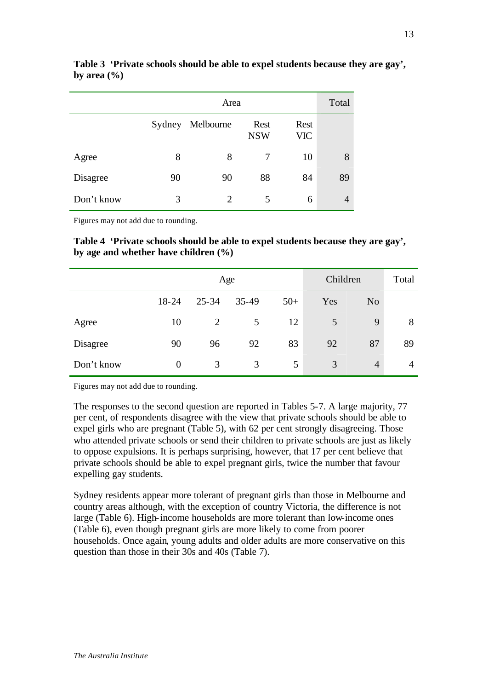|            | Area   |                |                    |                    |    |  |
|------------|--------|----------------|--------------------|--------------------|----|--|
|            | Sydney | Melbourne      | Rest<br><b>NSW</b> | Rest<br><b>VIC</b> |    |  |
| Agree      | 8      | 8              |                    | 10                 | 8  |  |
| Disagree   | 90     | 90             | 88                 | 84                 | 89 |  |
| Don't know | 3      | $\overline{2}$ | 5                  | 6                  | 4  |  |

**Table 3 'Private schools should be able to expel students because they are gay', by area (%)**

Figures may not add due to rounding.

**Table 4 'Private schools should be able to expel students because they are gay', by age and whether have children (%)**

|            | Age            |           |       |       | Children | Total          |    |
|------------|----------------|-----------|-------|-------|----------|----------------|----|
|            | 18-24          | $25 - 34$ | 35-49 | $50+$ | Yes      | N <sub>o</sub> |    |
| Agree      | 10             | 2         | 5     | 12    | 5        | 9              | 8  |
| Disagree   | 90             | 96        | 92    | 83    | 92       | 87             | 89 |
| Don't know | $\overline{0}$ | 3         | 3     | 5     | 3        | $\overline{4}$ | 4  |

Figures may not add due to rounding.

The responses to the second question are reported in Tables 5-7. A large majority, 77 per cent, of respondents disagree with the view that private schools should be able to expel girls who are pregnant (Table 5), with 62 per cent strongly disagreeing. Those who attended private schools or send their children to private schools are just as likely to oppose expulsions. It is perhaps surprising, however, that 17 per cent believe that private schools should be able to expel pregnant girls, twice the number that favour expelling gay students.

Sydney residents appear more tolerant of pregnant girls than those in Melbourne and country areas although, with the exception of country Victoria, the difference is not large (Table 6). High-income households are more tolerant than low-income ones (Table 6), even though pregnant girls are more likely to come from poorer households. Once again, young adults and older adults are more conservative on this question than those in their 30s and 40s (Table 7).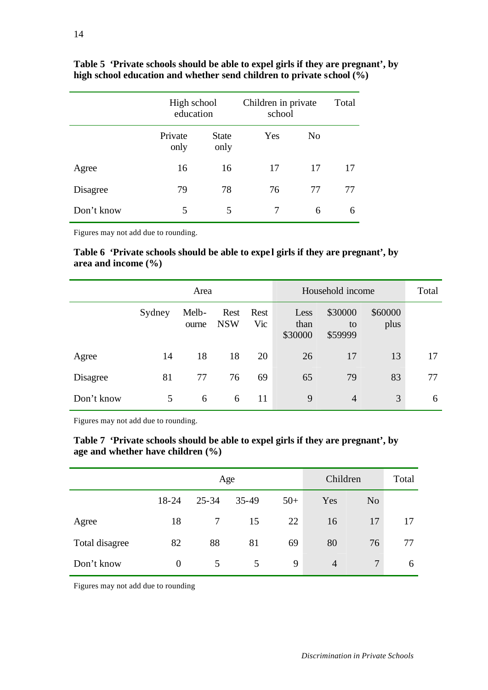|            | High school<br>education |                      | Children in private<br>school | Total          |    |
|------------|--------------------------|----------------------|-------------------------------|----------------|----|
|            | Private<br>only          | <b>State</b><br>only | Yes                           | N <sub>0</sub> |    |
| Agree      | 16                       | 16                   | 17                            | 17             | 17 |
| Disagree   | 79                       | 78                   | 76                            | 77             | 77 |
| Don't know | 5                        | 5                    | 7                             | 6              | 6  |

**Table 5 'Private schools should be able to expel girls if they are pregnant', by high school education and whether send children to private school (%)**

Figures may not add due to rounding.

Table 6 'Private schools should be able to expel girls if they are pregnant', by **area and income (%)**

|            | Area   |                |                    |             | Household income        |                          |                 | Total |
|------------|--------|----------------|--------------------|-------------|-------------------------|--------------------------|-----------------|-------|
|            | Sydney | Melb-<br>ourne | Rest<br><b>NSW</b> | Rest<br>Vic | Less<br>than<br>\$30000 | \$30000<br>to<br>\$59999 | \$60000<br>plus |       |
| Agree      | 14     | 18             | 18                 | 20          | 26                      | 17                       | 13              | 17    |
| Disagree   | 81     | 77             | 76                 | 69          | 65                      | 79                       | 83              | 77    |
| Don't know | 5      | 6              | 6                  | 11          | 9                       | $\overline{4}$           | 3               | 6     |

Figures may not add due to rounding.

|                                       | Table 7 'Private schools should be able to expel girls if they are pregnant', by |
|---------------------------------------|----------------------------------------------------------------------------------|
| age and whether have children $(\% )$ |                                                                                  |

|                | Age      |           |         |       | Children       | Total          |    |
|----------------|----------|-----------|---------|-------|----------------|----------------|----|
|                | 18-24    | $25 - 34$ | $35-49$ | $50+$ | Yes            | N <sub>o</sub> |    |
| Agree          | 18       | 7         | 15      | 22    | 16             | 17             | 17 |
| Total disagree | 82       | 88        | 81      | 69    | 80             | 76             | 77 |
| Don't know     | $\theta$ | 5         | 5       | 9     | $\overline{4}$ | $\tau$         | 6  |

Figures may not add due to rounding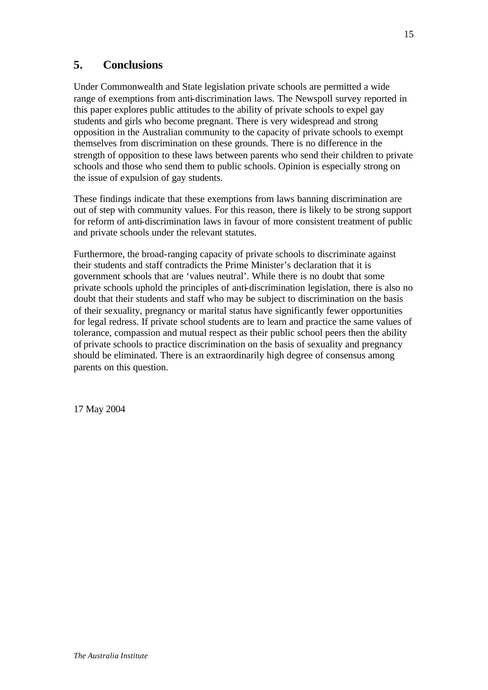# **5. Conclusions**

Under Commonwealth and State legislation private schools are permitted a wide range of exemptions from anti-discrimination laws. The Newspoll survey reported in this paper explores public attitudes to the ability of private schools to expel gay students and girls who become pregnant. There is very widespread and strong opposition in the Australian community to the capacity of private schools to exempt themselves from discrimination on these grounds. There is no difference in the strength of opposition to these laws between parents who send their children to private schools and those who send them to public schools. Opinion is especially strong on the issue of expulsion of gay students.

These findings indicate that these exemptions from laws banning discrimination are out of step with community values. For this reason, there is likely to be strong support for reform of anti-discrimination laws in favour of more consistent treatment of public and private schools under the relevant statutes.

Furthermore, the broad-ranging capacity of private schools to discriminate against their students and staff contradicts the Prime Minister's declaration that it is government schools that are 'values neutral'. While there is no doubt that some private schools uphold the principles of anti-discrimination legislation, there is also no doubt that their students and staff who may be subject to discrimination on the basis of their sexuality, pregnancy or marital status have significantly fewer opportunities for legal redress. If private school students are to learn and practice the same values of tolerance, compassion and mutual respect as their public school peers then the ability of private schools to practice discrimination on the basis of sexuality and pregnancy should be eliminated. There is an extraordinarily high degree of consensus among parents on this question.

17 May 2004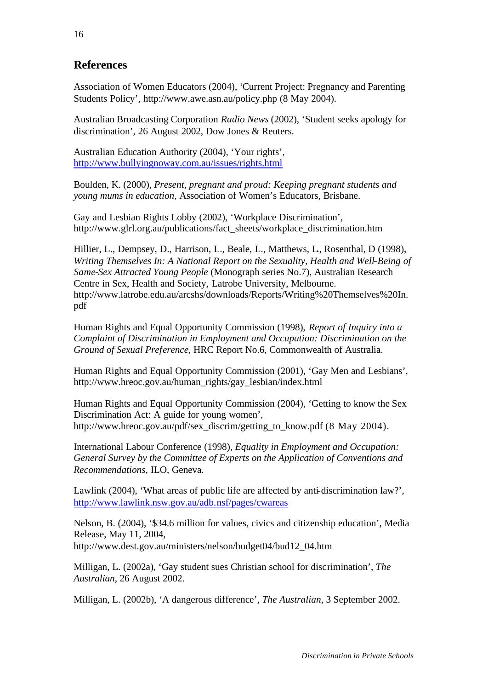# **References**

Association of Women Educators (2004), 'Current Project: Pregnancy and Parenting Students Policy', http://www.awe.asn.au/policy.php (8 May 2004).

Australian Broadcasting Corporation *Radio News* (2002), 'Student seeks apology for discrimination', 26 August 2002, Dow Jones & Reuters.

Australian Education Authority (2004), 'Your rights', http://www.bullyingnoway.com.au/issues/rights.html

Boulden, K. (2000), *Present, pregnant and proud: Keeping pregnant students and young mums in education*, Association of Women's Educators, Brisbane.

Gay and Lesbian Rights Lobby (2002), 'Workplace Discrimination', http://www.glrl.org.au/publications/fact\_sheets/workplace\_discrimination.htm

Hillier, L., Dempsey, D., Harrison, L., Beale, L., Matthews, L., Rosenthal, D (1998), *Writing Themselves In: A National Report on the Sexuality, Health and Well-Being of Same-Sex Attracted Young People* (Monograph series No.7), Australian Research Centre in Sex, Health and Society, Latrobe University, Melbourne. http://www.latrobe.edu.au/arcshs/downloads/Reports/Writing%20Themselves%20In. pdf

Human Rights and Equal Opportunity Commission (1998), *Report of Inquiry into a Complaint of Discrimination in Employment and Occupation: Discrimination on the Ground of Sexual Preference*, HRC Report No.6, Commonwealth of Australia.

Human Rights and Equal Opportunity Commission (2001), 'Gay Men and Lesbians', http://www.hreoc.gov.au/human\_rights/gay\_lesbian/index.html

Human Rights and Equal Opportunity Commission (2004), 'Getting to know the Sex Discrimination Act: A guide for young women', http://www.hreoc.gov.au/pdf/sex\_discrim/getting\_to\_know.pdf (8 May 2004).

International Labour Conference (1998), *Equality in Employment and Occupation: General Survey by the Committee of Experts on the Application of Conventions and Recommendations,* ILO, Geneva.

Lawlink (2004), 'What areas of public life are affected by anti-discrimination law?', http://www.lawlink.nsw.gov.au/adb.nsf/pages/cwareas

Nelson, B. (2004), '\$34.6 million for values, civics and citizenship education', Media Release, May 11, 2004,

http://www.dest.gov.au/ministers/nelson/budget04/bud12\_04.htm

Milligan, L. (2002a), 'Gay student sues Christian school for discrimination', *The Australian*, 26 August 2002.

Milligan, L. (2002b), 'A dangerous difference', *The Australian*, 3 September 2002.